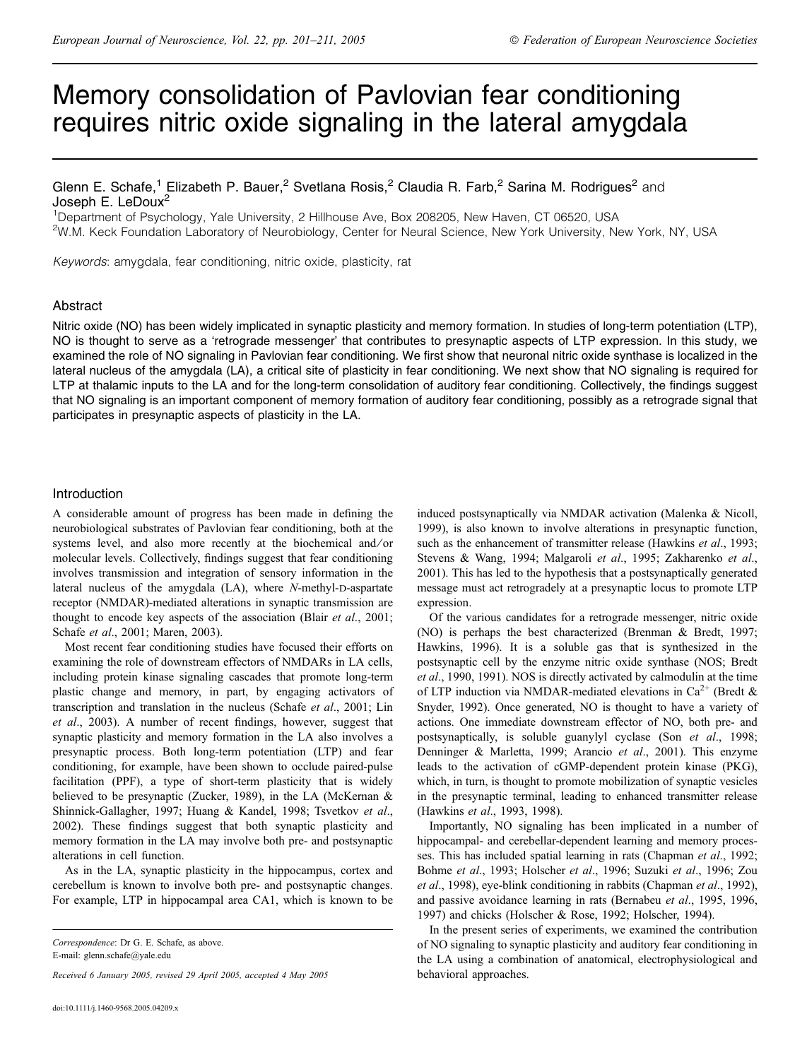# Memory consolidation of Pavlovian fear conditioning requires nitric oxide signaling in the lateral amygdala

## Glenn E. Schafe,<sup>1</sup> Elizabeth P. Bauer,<sup>2</sup> Svetlana Rosis,<sup>2</sup> Claudia R. Farb,<sup>2</sup> Sarina M. Rodrigues<sup>2</sup> and Joseph E. LeDoux<sup>2</sup>

<sup>1</sup>Department of Psychology, Yale University, 2 Hillhouse Ave, Box 208205, New Haven, CT 06520, USA

<sup>2</sup>W.M. Keck Foundation Laboratory of Neurobiology, Center for Neural Science, New York University, New York, NY, USA

Keywords: amygdala, fear conditioning, nitric oxide, plasticity, rat

## Abstract

Nitric oxide (NO) has been widely implicated in synaptic plasticity and memory formation. In studies of long-term potentiation (LTP), NO is thought to serve as a 'retrograde messenger' that contributes to presynaptic aspects of LTP expression. In this study, we examined the role of NO signaling in Pavlovian fear conditioning. We first show that neuronal nitric oxide synthase is localized in the lateral nucleus of the amygdala (LA), a critical site of plasticity in fear conditioning. We next show that NO signaling is required for LTP at thalamic inputs to the LA and for the long-term consolidation of auditory fear conditioning. Collectively, the findings suggest that NO signaling is an important component of memory formation of auditory fear conditioning, possibly as a retrograde signal that participates in presynaptic aspects of plasticity in the LA.

## Introduction

A considerable amount of progress has been made in defining the neurobiological substrates of Pavlovian fear conditioning, both at the systems level, and also more recently at the biochemical and/or molecular levels. Collectively, findings suggest that fear conditioning involves transmission and integration of sensory information in the lateral nucleus of the amygdala  $(LA)$ , where N-methyl-D-aspartate receptor (NMDAR)-mediated alterations in synaptic transmission are thought to encode key aspects of the association (Blair et al., 2001; Schafe et al., 2001; Maren, 2003).

Most recent fear conditioning studies have focused their efforts on examining the role of downstream effectors of NMDARs in LA cells, including protein kinase signaling cascades that promote long-term plastic change and memory, in part, by engaging activators of transcription and translation in the nucleus (Schafe et al., 2001; Lin et al., 2003). A number of recent findings, however, suggest that synaptic plasticity and memory formation in the LA also involves a presynaptic process. Both long-term potentiation (LTP) and fear conditioning, for example, have been shown to occlude paired-pulse facilitation (PPF), a type of short-term plasticity that is widely believed to be presynaptic (Zucker, 1989), in the LA (McKernan & Shinnick-Gallagher, 1997; Huang & Kandel, 1998; Tsvetkov et al., 2002). These findings suggest that both synaptic plasticity and memory formation in the LA may involve both pre- and postsynaptic alterations in cell function.

As in the LA, synaptic plasticity in the hippocampus, cortex and cerebellum is known to involve both pre- and postsynaptic changes. For example, LTP in hippocampal area CA1, which is known to be

Received 6 January 2005, revised 29 April 2005, accepted 4 May 2005

induced postsynaptically via NMDAR activation (Malenka & Nicoll, 1999), is also known to involve alterations in presynaptic function, such as the enhancement of transmitter release (Hawkins et al., 1993; Stevens & Wang, 1994; Malgaroli et al., 1995; Zakharenko et al., 2001). This has led to the hypothesis that a postsynaptically generated message must act retrogradely at a presynaptic locus to promote LTP expression.

Of the various candidates for a retrograde messenger, nitric oxide (NO) is perhaps the best characterized (Brenman & Bredt, 1997; Hawkins, 1996). It is a soluble gas that is synthesized in the postsynaptic cell by the enzyme nitric oxide synthase (NOS; Bredt et al., 1990, 1991). NOS is directly activated by calmodulin at the time of LTP induction via NMDAR-mediated elevations in  $Ca^{2+}$  (Bredt & Snyder, 1992). Once generated, NO is thought to have a variety of actions. One immediate downstream effector of NO, both pre- and postsynaptically, is soluble guanylyl cyclase (Son et al., 1998; Denninger & Marletta, 1999; Arancio et al., 2001). This enzyme leads to the activation of cGMP-dependent protein kinase (PKG), which, in turn, is thought to promote mobilization of synaptic vesicles in the presynaptic terminal, leading to enhanced transmitter release (Hawkins et al., 1993, 1998).

Importantly, NO signaling has been implicated in a number of hippocampal- and cerebellar-dependent learning and memory processes. This has included spatial learning in rats (Chapman et al., 1992; Bohme et al., 1993; Holscher et al., 1996; Suzuki et al., 1996; Zou et al., 1998), eye-blink conditioning in rabbits (Chapman et al., 1992), and passive avoidance learning in rats (Bernabeu et al., 1995, 1996, 1997) and chicks (Holscher & Rose, 1992; Holscher, 1994).

In the present series of experiments, we examined the contribution of NO signaling to synaptic plasticity and auditory fear conditioning in the LA using a combination of anatomical, electrophysiological and behavioral approaches.

Correspondence: Dr G. E. Schafe, as above. E-mail: glenn.schafe@yale.edu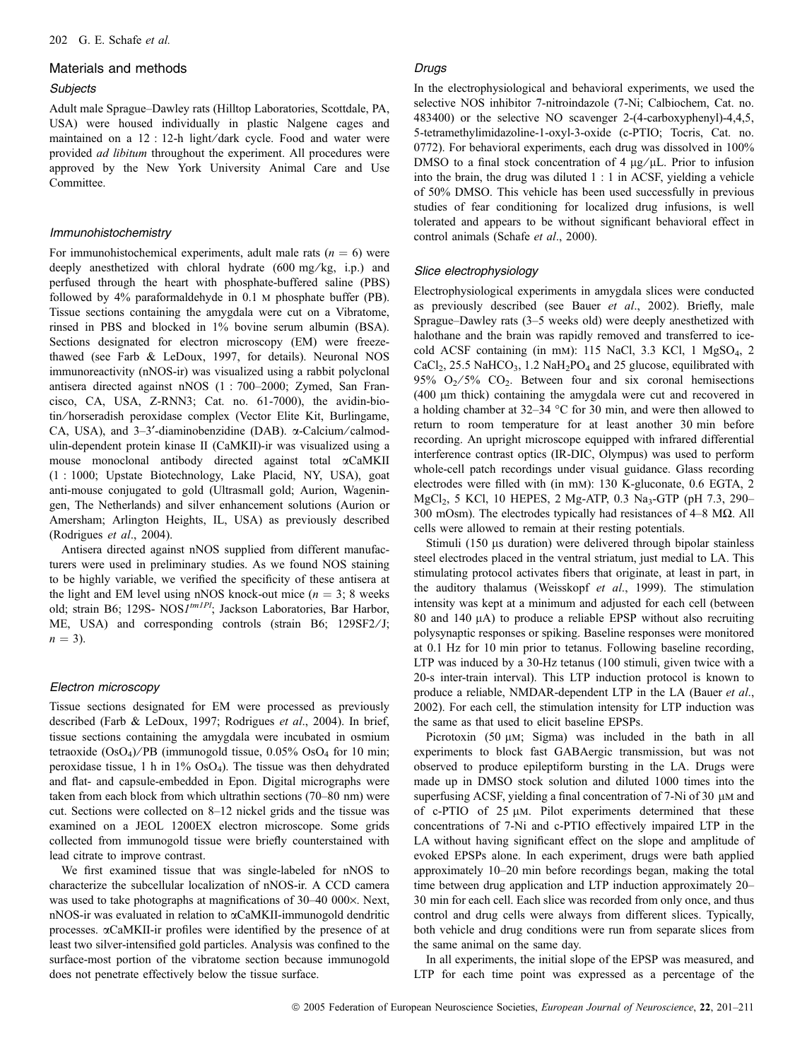## Materials and methods

## **Subjects**

Adult male Sprague–Dawley rats (Hilltop Laboratories, Scottdale, PA, USA) were housed individually in plastic Nalgene cages and maintained on a 12 : 12-h light/dark cycle. Food and water were provided ad libitum throughout the experiment. All procedures were approved by the New York University Animal Care and Use Committee.

#### Immunohistochemistry

For immunohistochemical experiments, adult male rats  $(n = 6)$  were deeply anesthetized with chloral hydrate  $(600 \text{ mg/kg}, i.p.)$  and perfused through the heart with phosphate-buffered saline (PBS) followed by 4% paraformaldehyde in 0.1 m phosphate buffer (PB). Tissue sections containing the amygdala were cut on a Vibratome, rinsed in PBS and blocked in 1% bovine serum albumin (BSA). Sections designated for electron microscopy (EM) were freezethawed (see Farb & LeDoux, 1997, for details). Neuronal NOS immunoreactivity (nNOS-ir) was visualized using a rabbit polyclonal antisera directed against nNOS (1 : 700–2000; Zymed, San Francisco, CA, USA, Z-RNN3; Cat. no. 61-7000), the avidin-biotin ⁄ horseradish peroxidase complex (Vector Elite Kit, Burlingame, CA, USA), and  $3-3'$ -diaminobenzidine (DAB).  $\alpha$ -Calcium/calmodulin-dependent protein kinase II (CaMKII)-ir was visualized using a mouse monoclonal antibody directed against total aCaMKII (1 : 1000; Upstate Biotechnology, Lake Placid, NY, USA), goat anti-mouse conjugated to gold (Ultrasmall gold; Aurion, Wageningen, The Netherlands) and silver enhancement solutions (Aurion or Amersham; Arlington Heights, IL, USA) as previously described (Rodrigues et al., 2004).

Antisera directed against nNOS supplied from different manufacturers were used in preliminary studies. As we found NOS staining to be highly variable, we verified the specificity of these antisera at the light and EM level using nNOS knock-out mice ( $n = 3$ ; 8 weeks old; strain B6; 129S- NOS $I^{mIPl}$ ; Jackson Laboratories, Bar Harbor, ME, USA) and corresponding controls (strain B6; 129SF2/J;  $n = 3$ ).

## Electron microscopy

Tissue sections designated for EM were processed as previously described (Farb & LeDoux, 1997; Rodrigues et al., 2004). In brief, tissue sections containing the amygdala were incubated in osmium tetraoxide  $(OsO<sub>4</sub>)/PB$  (immunogold tissue,  $0.05\%$  Os $O<sub>4</sub>$  for 10 min; peroxidase tissue, 1 h in  $1\%$  OsO<sub>4</sub>). The tissue was then dehydrated and flat- and capsule-embedded in Epon. Digital micrographs were taken from each block from which ultrathin sections (70–80 nm) were cut. Sections were collected on 8–12 nickel grids and the tissue was examined on a JEOL 1200EX electron microscope. Some grids collected from immunogold tissue were briefly counterstained with lead citrate to improve contrast.

We first examined tissue that was single-labeled for nNOS to characterize the subcellular localization of nNOS-ir. A CCD camera was used to take photographs at magnifications of  $30-40000\times$ . Next, nNOS-ir was evaluated in relation to aCaMKII-immunogold dendritic processes. aCaMKII-ir profiles were identified by the presence of at least two silver-intensified gold particles. Analysis was confined to the surface-most portion of the vibratome section because immunogold does not penetrate effectively below the tissue surface.

## Drugs

In the electrophysiological and behavioral experiments, we used the selective NOS inhibitor 7-nitroindazole (7-Ni; Calbiochem, Cat. no. 483400) or the selective NO scavenger 2-(4-carboxyphenyl)-4,4,5, 5-tetramethylimidazoline-1-oxyl-3-oxide (c-PTIO; Tocris, Cat. no. 0772). For behavioral experiments, each drug was dissolved in 100% DMSO to a final stock concentration of 4  $\mu$ g/ $\mu$ L. Prior to infusion into the brain, the drug was diluted 1 : 1 in ACSF, yielding a vehicle of 50% DMSO. This vehicle has been used successfully in previous studies of fear conditioning for localized drug infusions, is well tolerated and appears to be without significant behavioral effect in control animals (Schafe et al., 2000).

#### Slice electrophysiology

Electrophysiological experiments in amygdala slices were conducted as previously described (see Bauer  $et$   $al$ , 2002). Briefly, male Sprague–Dawley rats (3–5 weeks old) were deeply anesthetized with halothane and the brain was rapidly removed and transferred to icecold ACSF containing (in mM): 115 NaCl, 3.3 KCl, 1 MgSO<sub>4</sub>, 2  $CaCl<sub>2</sub>$ , 25.5 NaHCO<sub>3</sub>, 1.2 NaH<sub>2</sub>PO<sub>4</sub> and 25 glucose, equilibrated with 95%  $O<sub>2</sub>/5%$   $CO<sub>2</sub>$ . Between four and six coronal hemisections (400 lm thick) containing the amygdala were cut and recovered in a holding chamber at  $32-34$  °C for 30 min, and were then allowed to return to room temperature for at least another 30 min before recording. An upright microscope equipped with infrared differential interference contrast optics (IR-DIC, Olympus) was used to perform whole-cell patch recordings under visual guidance. Glass recording electrodes were filled with (in mm): 130 K-gluconate, 0.6 EGTA, 2 MgCl<sub>2</sub>, 5 KCl, 10 HEPES, 2 Mg-ATP, 0.3 Na<sub>3</sub>-GTP (pH 7.3, 290– 300 mOsm). The electrodes typically had resistances of 4–8  $M\Omega$ . All cells were allowed to remain at their resting potentials.

Stimuli (150 µs duration) were delivered through bipolar stainless steel electrodes placed in the ventral striatum, just medial to LA. This stimulating protocol activates fibers that originate, at least in part, in the auditory thalamus (Weisskopf et al., 1999). The stimulation intensity was kept at a minimum and adjusted for each cell (between 80 and 140  $\mu$ A) to produce a reliable EPSP without also recruiting polysynaptic responses or spiking. Baseline responses were monitored at 0.1 Hz for 10 min prior to tetanus. Following baseline recording, LTP was induced by a 30-Hz tetanus (100 stimuli, given twice with a 20-s inter-train interval). This LTP induction protocol is known to produce a reliable, NMDAR-dependent LTP in the LA (Bauer et al., 2002). For each cell, the stimulation intensity for LTP induction was the same as that used to elicit baseline EPSPs.

Picrotoxin (50  $\mu$ M; Sigma) was included in the bath in all experiments to block fast GABAergic transmission, but was not observed to produce epileptiform bursting in the LA. Drugs were made up in DMSO stock solution and diluted 1000 times into the superfusing ACSF, yielding a final concentration of  $7$ -Ni of  $30 \mu$ M and of c-PTIO of  $25 \mu M$ . Pilot experiments determined that these concentrations of 7-Ni and c-PTIO effectively impaired LTP in the LA without having significant effect on the slope and amplitude of evoked EPSPs alone. In each experiment, drugs were bath applied approximately 10–20 min before recordings began, making the total time between drug application and LTP induction approximately 20– 30 min for each cell. Each slice was recorded from only once, and thus control and drug cells were always from different slices. Typically, both vehicle and drug conditions were run from separate slices from the same animal on the same day.

In all experiments, the initial slope of the EPSP was measured, and LTP for each time point was expressed as a percentage of the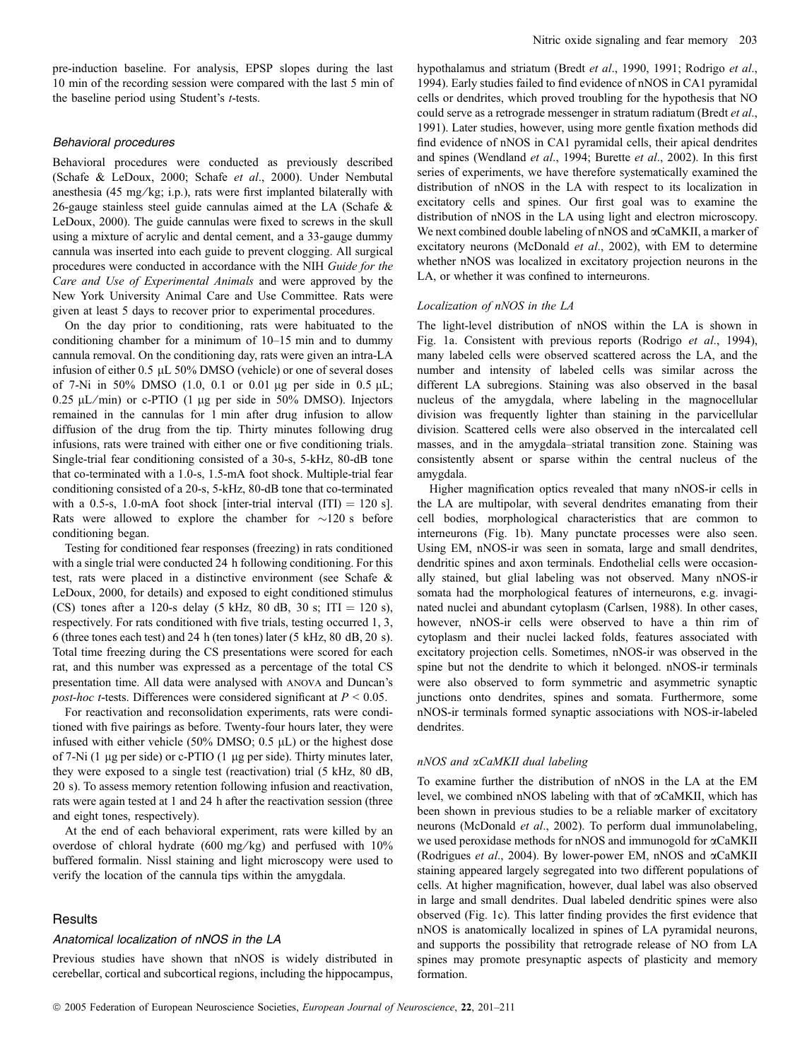pre-induction baseline. For analysis, EPSP slopes during the last 10 min of the recording session were compared with the last 5 min of the baseline period using Student's t-tests.

## Behavioral procedures

Behavioral procedures were conducted as previously described (Schafe & LeDoux, 2000; Schafe et al., 2000). Under Nembutal anesthesia (45 mg/kg; i.p.), rats were first implanted bilaterally with 26-gauge stainless steel guide cannulas aimed at the LA (Schafe & LeDoux, 2000). The guide cannulas were fixed to screws in the skull using a mixture of acrylic and dental cement, and a 33-gauge dummy cannula was inserted into each guide to prevent clogging. All surgical procedures were conducted in accordance with the NIH Guide for the Care and Use of Experimental Animals and were approved by the New York University Animal Care and Use Committee. Rats were given at least 5 days to recover prior to experimental procedures.

On the day prior to conditioning, rats were habituated to the conditioning chamber for a minimum of 10–15 min and to dummy cannula removal. On the conditioning day, rats were given an intra-LA infusion of either 0.5 µL 50% DMSO (vehicle) or one of several doses of 7-Ni in 50% DMSO (1.0, 0.1 or 0.01 µg per side in 0.5 µL; 0.25  $\mu$ L/min) or c-PTIO (1  $\mu$ g per side in 50% DMSO). Injectors remained in the cannulas for 1 min after drug infusion to allow diffusion of the drug from the tip. Thirty minutes following drug infusions, rats were trained with either one or five conditioning trials. Single-trial fear conditioning consisted of a 30-s, 5-kHz, 80-dB tone that co-terminated with a 1.0-s, 1.5-mA foot shock. Multiple-trial fear conditioning consisted of a 20-s, 5-kHz, 80-dB tone that co-terminated with a 0.5-s, 1.0-mA foot shock [inter-trial interval  $(ITI) = 120$  s]. Rats were allowed to explore the chamber for  $\sim$ 120 s before conditioning began.

Testing for conditioned fear responses (freezing) in rats conditioned with a single trial were conducted 24 h following conditioning. For this test, rats were placed in a distinctive environment (see Schafe & LeDoux, 2000, for details) and exposed to eight conditioned stimulus (CS) tones after a 120-s delay (5 kHz, 80 dB, 30 s; ITI = 120 s), respectively. For rats conditioned with five trials, testing occurred 1, 3, 6 (three tones each test) and 24 h (ten tones) later (5 kHz, 80 dB, 20 s). Total time freezing during the CS presentations were scored for each rat, and this number was expressed as a percentage of the total CS presentation time. All data were analysed with anova and Duncan's *post-hoc t-tests.* Differences were considered significant at  $P < 0.05$ .

For reactivation and reconsolidation experiments, rats were conditioned with five pairings as before. Twenty-four hours later, they were infused with either vehicle (50% DMSO;  $0.5 \mu L$ ) or the highest dose of 7-Ni (1 µg per side) or c-PTIO (1 µg per side). Thirty minutes later, they were exposed to a single test (reactivation) trial (5 kHz, 80 dB, 20 s). To assess memory retention following infusion and reactivation, rats were again tested at 1 and 24 h after the reactivation session (three and eight tones, respectively).

At the end of each behavioral experiment, rats were killed by an overdose of chloral hydrate (600 mg/kg) and perfused with 10% buffered formalin. Nissl staining and light microscopy were used to verify the location of the cannula tips within the amygdala.

## **Results**

## Anatomical localization of nNOS in the LA

Previous studies have shown that nNOS is widely distributed in cerebellar, cortical and subcortical regions, including the hippocampus,

hypothalamus and striatum (Bredt et al., 1990, 1991; Rodrigo et al., 1994). Early studies failed to find evidence of nNOS in CA1 pyramidal cells or dendrites, which proved troubling for the hypothesis that NO could serve as a retrograde messenger in stratum radiatum (Bredt et al., 1991). Later studies, however, using more gentle fixation methods did find evidence of nNOS in CA1 pyramidal cells, their apical dendrites and spines (Wendland et al., 1994; Burette et al., 2002). In this first series of experiments, we have therefore systematically examined the distribution of nNOS in the LA with respect to its localization in excitatory cells and spines. Our first goal was to examine the distribution of nNOS in the LA using light and electron microscopy. We next combined double labeling of nNOS and aCaMKII, a marker of excitatory neurons (McDonald et al., 2002), with EM to determine whether nNOS was localized in excitatory projection neurons in the LA, or whether it was confined to interneurons.

#### Localization of nNOS in the LA

The light-level distribution of nNOS within the LA is shown in Fig. 1a. Consistent with previous reports (Rodrigo et al., 1994), many labeled cells were observed scattered across the LA, and the number and intensity of labeled cells was similar across the different LA subregions. Staining was also observed in the basal nucleus of the amygdala, where labeling in the magnocellular division was frequently lighter than staining in the parvicellular division. Scattered cells were also observed in the intercalated cell masses, and in the amygdala–striatal transition zone. Staining was consistently absent or sparse within the central nucleus of the amygdala.

Higher magnification optics revealed that many nNOS-ir cells in the LA are multipolar, with several dendrites emanating from their cell bodies, morphological characteristics that are common to interneurons (Fig. 1b). Many punctate processes were also seen. Using EM, nNOS-ir was seen in somata, large and small dendrites, dendritic spines and axon terminals. Endothelial cells were occasionally stained, but glial labeling was not observed. Many nNOS-ir somata had the morphological features of interneurons, e.g. invaginated nuclei and abundant cytoplasm (Carlsen, 1988). In other cases, however, nNOS-ir cells were observed to have a thin rim of cytoplasm and their nuclei lacked folds, features associated with excitatory projection cells. Sometimes, nNOS-ir was observed in the spine but not the dendrite to which it belonged. nNOS-ir terminals were also observed to form symmetric and asymmetric synaptic junctions onto dendrites, spines and somata. Furthermore, some nNOS-ir terminals formed synaptic associations with NOS-ir-labeled **dendrites** 

#### nNOS and *a*CaMKII dual labeling

To examine further the distribution of nNOS in the LA at the EM level, we combined nNOS labeling with that of aCaMKII, which has been shown in previous studies to be a reliable marker of excitatory neurons (McDonald et al., 2002). To perform dual immunolabeling, we used peroxidase methods for nNOS and immunogold for aCaMKII (Rodrigues et al., 2004). By lower-power EM, nNOS and aCaMKII staining appeared largely segregated into two different populations of cells. At higher magnification, however, dual label was also observed in large and small dendrites. Dual labeled dendritic spines were also observed (Fig. 1c). This latter finding provides the first evidence that nNOS is anatomically localized in spines of LA pyramidal neurons, and supports the possibility that retrograde release of NO from LA spines may promote presynaptic aspects of plasticity and memory formation.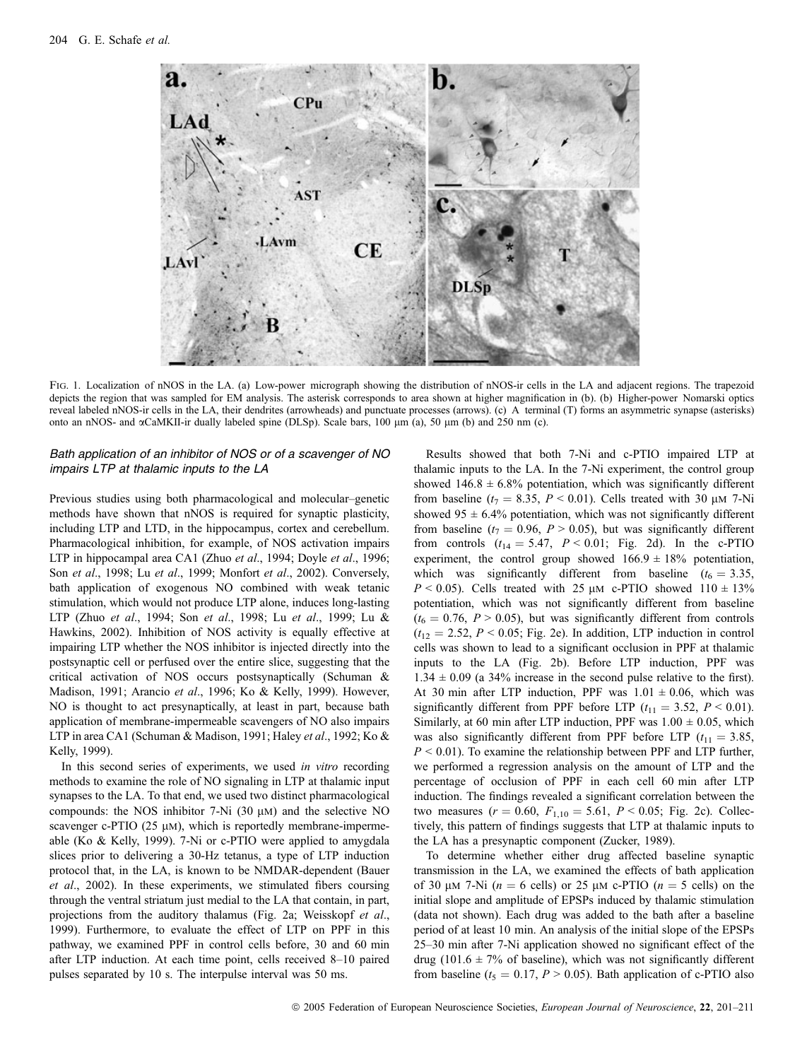

Fig. 1. Localization of nNOS in the LA. (a) Low-power micrograph showing the distribution of nNOS-ir cells in the LA and adjacent regions. The trapezoid depicts the region that was sampled for EM analysis. The asterisk corresponds to area shown at higher magnification in (b). (b) Higher-power Nomarski optics reveal labeled nNOS-ir cells in the LA, their dendrites (arrowheads) and punctuate processes (arrows). (c) A terminal (T) forms an asymmetric synapse (asterisks) onto an nNOS- and  $\alpha$ CaMKII-ir dually labeled spine (DLSp). Scale bars, 100  $\mu$ m (a), 50  $\mu$ m (b) and 250 nm (c).

## Bath application of an inhibitor of NOS or of a scavenger of NO impairs LTP at thalamic inputs to the LA

Previous studies using both pharmacological and molecular–genetic methods have shown that nNOS is required for synaptic plasticity, including LTP and LTD, in the hippocampus, cortex and cerebellum. Pharmacological inhibition, for example, of NOS activation impairs LTP in hippocampal area CA1 (Zhuo et al., 1994; Doyle et al., 1996; Son et al., 1998; Lu et al., 1999; Monfort et al., 2002). Conversely, bath application of exogenous NO combined with weak tetanic stimulation, which would not produce LTP alone, induces long-lasting LTP (Zhuo et al., 1994; Son et al., 1998; Lu et al., 1999; Lu & Hawkins, 2002). Inhibition of NOS activity is equally effective at impairing LTP whether the NOS inhibitor is injected directly into the postsynaptic cell or perfused over the entire slice, suggesting that the critical activation of NOS occurs postsynaptically (Schuman & Madison, 1991; Arancio et al., 1996; Ko & Kelly, 1999). However, NO is thought to act presynaptically, at least in part, because bath application of membrane-impermeable scavengers of NO also impairs LTP in area CA1 (Schuman & Madison, 1991; Haley et al., 1992; Ko & Kelly, 1999).

In this second series of experiments, we used in vitro recording methods to examine the role of NO signaling in LTP at thalamic input synapses to the LA. To that end, we used two distinct pharmacological compounds: the NOS inhibitor  $7-Ni$  (30  $\mu$ M) and the selective NO scavenger c-PTIO  $(25 \mu M)$ , which is reportedly membrane-impermeable (Ko & Kelly, 1999). 7-Ni or c-PTIO were applied to amygdala slices prior to delivering a 30-Hz tetanus, a type of LTP induction protocol that, in the LA, is known to be NMDAR-dependent (Bauer et al., 2002). In these experiments, we stimulated fibers coursing through the ventral striatum just medial to the LA that contain, in part, projections from the auditory thalamus (Fig. 2a; Weisskopf et al., 1999). Furthermore, to evaluate the effect of LTP on PPF in this pathway, we examined PPF in control cells before, 30 and 60 min after LTP induction. At each time point, cells received 8–10 paired pulses separated by 10 s. The interpulse interval was 50 ms.

Results showed that both 7-Ni and c-PTIO impaired LTP at thalamic inputs to the LA. In the 7-Ni experiment, the control group showed  $146.8 \pm 6.8\%$  potentiation, which was significantly different from baseline ( $t_7 = 8.35$ ,  $P < 0.01$ ). Cells treated with 30  $\mu$ m 7-Ni showed  $95 \pm 6.4\%$  potentiation, which was not significantly different from baseline ( $t_7 = 0.96$ ,  $P > 0.05$ ), but was significantly different from controls  $(t_{14} = 5.47, P < 0.01;$  Fig. 2d). In the c-PTIO experiment, the control group showed  $166.9 \pm 18\%$  potentiation, which was significantly different from baseline  $(t_6 = 3.35,$  $P < 0.05$ ). Cells treated with 25  $\mu$ M c-PTIO showed 110 ± 13% potentiation, which was not significantly different from baseline  $(t_6 = 0.76, P > 0.05)$ , but was significantly different from controls  $(t_{12} = 2.52, P \le 0.05;$  Fig. 2e). In addition, LTP induction in control cells was shown to lead to a significant occlusion in PPF at thalamic inputs to the LA (Fig. 2b). Before LTP induction, PPF was  $1.34 \pm 0.09$  (a 34% increase in the second pulse relative to the first). At 30 min after LTP induction, PPF was  $1.01 \pm 0.06$ , which was significantly different from PPF before LTP ( $t_{11} = 3.52, P \le 0.01$ ). Similarly, at 60 min after LTP induction, PPF was  $1.00 \pm 0.05$ , which was also significantly different from PPF before LTP ( $t_{11} = 3.85$ ,  $P \le 0.01$ ). To examine the relationship between PPF and LTP further, we performed a regression analysis on the amount of LTP and the percentage of occlusion of PPF in each cell 60 min after LTP induction. The findings revealed a significant correlation between the two measures ( $r = 0.60$ ,  $F_{1,10} = 5.61$ ,  $P < 0.05$ ; Fig. 2c). Collectively, this pattern of findings suggests that LTP at thalamic inputs to the LA has a presynaptic component (Zucker, 1989).

To determine whether either drug affected baseline synaptic transmission in the LA, we examined the effects of bath application of 30  $\mu$ m 7-Ni (n = 6 cells) or 25  $\mu$ m c-PTIO (n = 5 cells) on the initial slope and amplitude of EPSPs induced by thalamic stimulation (data not shown). Each drug was added to the bath after a baseline period of at least 10 min. An analysis of the initial slope of the EPSPs 25–30 min after 7-Ni application showed no significant effect of the drug (101.6  $\pm$  7% of baseline), which was not significantly different from baseline ( $t_5 = 0.17$ ,  $P > 0.05$ ). Bath application of c-PTIO also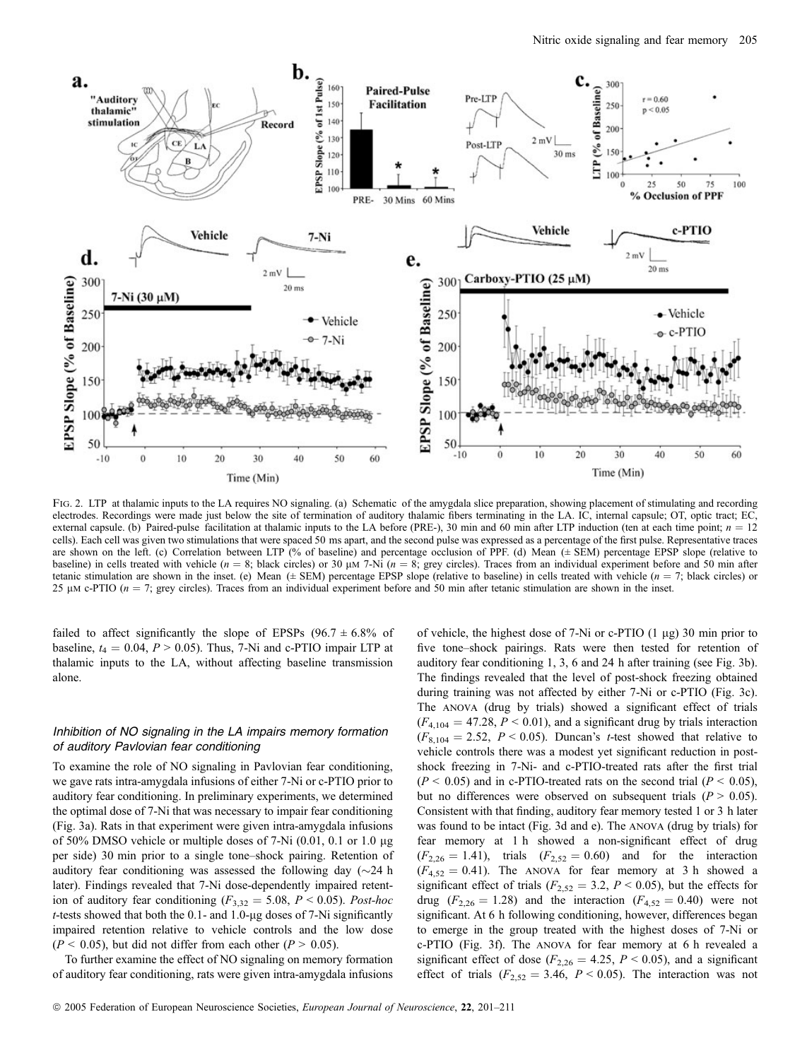

FIG. 2. LTP at thalamic inputs to the LA requires NO signaling. (a) Schematic of the amygdala slice preparation, showing placement of stimulating and recording electrodes. Recordings were made just below the site of termination of auditory thalamic fibers terminating in the LA. IC, internal capsule; OT, optic tract; EC, external capsule. (b) Paired-pulse facilitation at thalamic inputs to the LA before (PRE-), 30 min and 60 min after LTP induction (ten at each time point;  $n = 12$ cells). Each cell was given two stimulations that were spaced 50 ms apart, and the second pulse was expressed as a percentage of the first pulse. Representative traces are shown on the left. (c) Correlation between LTP (% of baseline) and percentage occlusion of PPF. (d) Mean ( $\pm$  SEM) percentage EPSP slope (relative to baseline) in cells treated with vehicle  $(n = 8)$ ; black circles) or 30  $\mu$ m 7-Ni  $(n = 8)$ ; grey circles). Traces from an individual experiment before and 50 min after tetanic stimulation are shown in the inset. (e) Mean ( $\pm$  SEM) percentage EPSP slope (relative to baseline) in cells treated with vehicle ( $n = 7$ ; black circles) or 25  $\mu$ m c-PTIO ( $n = 7$ ; grey circles). Traces from an individual experiment before and 50 min after tetanic stimulation are shown in the inset.

failed to affect significantly the slope of EPSPs  $(96.7 \pm 6.8\%$  of baseline,  $t_4 = 0.04$ ,  $P > 0.05$ ). Thus, 7-Ni and c-PTIO impair LTP at thalamic inputs to the LA, without affecting baseline transmission alone.

## Inhibition of NO signaling in the LA impairs memory formation of auditory Pavlovian fear conditioning

To examine the role of NO signaling in Pavlovian fear conditioning, we gave rats intra-amygdala infusions of either 7-Ni or c-PTIO prior to auditory fear conditioning. In preliminary experiments, we determined the optimal dose of 7-Ni that was necessary to impair fear conditioning (Fig. 3a). Rats in that experiment were given intra-amygdala infusions of  $50\%$  DMSO vehicle or multiple doses of  $7\text{-Ni}$  (0.01, 0.1 or 1.0 µg per side) 30 min prior to a single tone–shock pairing. Retention of auditory fear conditioning was assessed the following day  $(\sim 24$  h later). Findings revealed that 7-Ni dose-dependently impaired retention of auditory fear conditioning ( $F_{3,32} = 5.08$ ,  $P < 0.05$ ). Post-hoc  $t$ -tests showed that both the 0.1- and 1.0-µg doses of 7-Ni significantly impaired retention relative to vehicle controls and the low dose  $(P < 0.05)$ , but did not differ from each other  $(P > 0.05)$ .

To further examine the effect of NO signaling on memory formation of auditory fear conditioning, rats were given intra-amygdala infusions of vehicle, the highest dose of 7-Ni or c-PTIO  $(1 \mu g)$  30 min prior to five tone–shock pairings. Rats were then tested for retention of auditory fear conditioning 1, 3, 6 and 24 h after training (see Fig. 3b). The findings revealed that the level of post-shock freezing obtained during training was not affected by either 7-Ni or c-PTIO (Fig. 3c). The anova (drug by trials) showed a significant effect of trials  $(F_{4,104} = 47.28, P \le 0.01)$ , and a significant drug by trials interaction  $(F_{8,104} = 2.52, P \le 0.05)$ . Duncan's *t*-test showed that relative to vehicle controls there was a modest yet significant reduction in postshock freezing in 7-Ni- and c-PTIO-treated rats after the first trial  $(P < 0.05)$  and in c-PTIO-treated rats on the second trial  $(P < 0.05)$ , but no differences were observed on subsequent trials  $(P > 0.05)$ . Consistent with that finding, auditory fear memory tested 1 or 3 h later was found to be intact (Fig. 3d and e). The anova (drug by trials) for fear memory at 1 h showed a non-significant effect of drug  $(F_{2,26} = 1.41)$ , trials  $(F_{2,52} = 0.60)$  and for the interaction  $(F<sub>4.52</sub> = 0.41)$ . The ANOVA for fear memory at 3 h showed a significant effect of trials ( $F_{2,52} = 3.2$ ,  $P < 0.05$ ), but the effects for drug ( $F_{2,26} = 1.28$ ) and the interaction ( $F_{4,52} = 0.40$ ) were not significant. At 6 h following conditioning, however, differences began to emerge in the group treated with the highest doses of 7-Ni or c-PTIO (Fig. 3f). The anova for fear memory at 6 h revealed a significant effect of dose ( $F_{2,26} = 4.25$ ,  $P < 0.05$ ), and a significant effect of trials ( $F_{2,52} = 3.46$ ,  $P < 0.05$ ). The interaction was not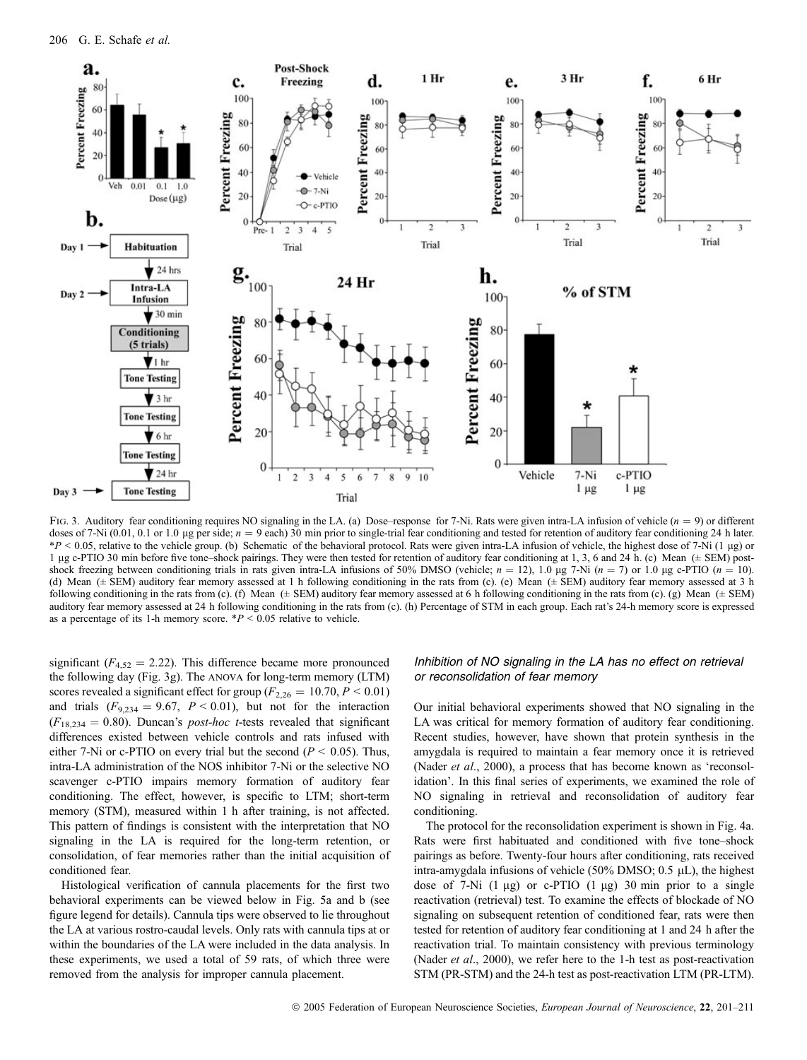

FIG. 3. Auditory fear conditioning requires NO signaling in the LA. (a) Dose–response for 7-Ni. Rats were given intra-LA infusion of vehicle ( $n = 9$ ) or different doses of 7-Ni (0.01, 0.1 or 1.0 µg per side;  $n = 9$  each) 30 min prior to single-trial fear conditioning and tested for retention of auditory fear conditioning 24 h later.  $*P < 0.05$ , relative to the vehicle group. (b) Schematic of the behavioral protocol. Rats were given intra-LA infusion of vehicle, the highest dose of 7-Ni (1 µg) or 1 lg c-PTIO 30 min before five tone–shock pairings. They were then tested for retention of auditory fear conditioning at 1, 3, 6 and 24 h. (c) Mean (± SEM) postshock freezing between conditioning trials in rats given intra-LA infusions of 50% DMSO (vehicle;  $n = 12$ ), 1.0 µg 7-Ni  $(n = 7)$  or 1.0 µg c-PTIO  $(n = 10)$ . (d) Mean (± SEM) auditory fear memory assessed at 1 h following conditioning in the rats from (c). (e) Mean (± SEM) auditory fear memory assessed at 3 h following conditioning in the rats from (c). (f) Mean ( $\pm$  SEM) auditory fear memory assessed at 6 h following conditioning in the rats from (c). (g) Mean ( $\pm$  SEM) auditory fear memory assessed at 24 h following conditioning in the rats from (c). (h) Percentage of STM in each group. Each rat's 24-h memory score is expressed as a percentage of its 1-h memory score.  $*P < 0.05$  relative to vehicle.

significant ( $F_{4,52} = 2.22$ ). This difference became more pronounced the following day (Fig. 3g). The anova for long-term memory (LTM) scores revealed a significant effect for group ( $F_{2,26} = 10.70, P \le 0.01$ ) and trials  $(F_{9,234} = 9.67, P \le 0.01)$ , but not for the interaction  $(F_{18,234} = 0.80)$ . Duncan's *post-hoc t*-tests revealed that significant differences existed between vehicle controls and rats infused with either 7-Ni or c-PTIO on every trial but the second ( $P < 0.05$ ). Thus, intra-LA administration of the NOS inhibitor 7-Ni or the selective NO scavenger c-PTIO impairs memory formation of auditory fear conditioning. The effect, however, is specific to LTM; short-term memory (STM), measured within 1 h after training, is not affected. This pattern of findings is consistent with the interpretation that NO signaling in the LA is required for the long-term retention, or consolidation, of fear memories rather than the initial acquisition of conditioned fear.

Histological verification of cannula placements for the first two behavioral experiments can be viewed below in Fig. 5a and b (see figure legend for details). Cannula tips were observed to lie throughout the LA at various rostro-caudal levels. Only rats with cannula tips at or within the boundaries of the LA were included in the data analysis. In these experiments, we used a total of 59 rats, of which three were removed from the analysis for improper cannula placement.

## Inhibition of NO signaling in the LA has no effect on retrieval or reconsolidation of fear memory

Our initial behavioral experiments showed that NO signaling in the LA was critical for memory formation of auditory fear conditioning. Recent studies, however, have shown that protein synthesis in the amygdala is required to maintain a fear memory once it is retrieved (Nader et al., 2000), a process that has become known as 'reconsolidation'. In this final series of experiments, we examined the role of NO signaling in retrieval and reconsolidation of auditory fear conditioning.

The protocol for the reconsolidation experiment is shown in Fig. 4a. Rats were first habituated and conditioned with five tone–shock pairings as before. Twenty-four hours after conditioning, rats received intra-amygdala infusions of vehicle (50% DMSO;  $0.5 \mu L$ ), the highest dose of 7-Ni  $(1 \mu g)$  or c-PTIO  $(1 \mu g)$  30 min prior to a single reactivation (retrieval) test. To examine the effects of blockade of NO signaling on subsequent retention of conditioned fear, rats were then tested for retention of auditory fear conditioning at 1 and 24 h after the reactivation trial. To maintain consistency with previous terminology (Nader *et al.*, 2000), we refer here to the 1-h test as post-reactivation STM (PR-STM) and the 24-h test as post-reactivation LTM (PR-LTM).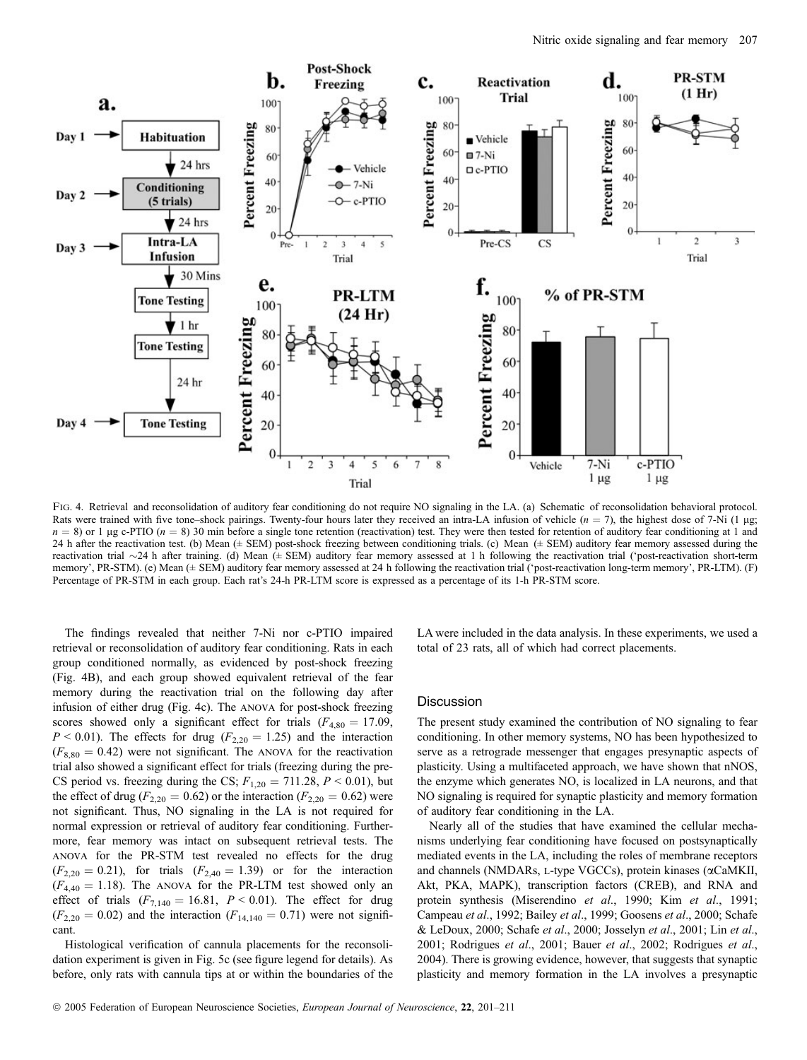

Fig. 4. Retrieval and reconsolidation of auditory fear conditioning do not require NO signaling in the LA. (a) Schematic of reconsolidation behavioral protocol. Rats were trained with five tone–shock pairings. Twenty-four hours later they received an intra-LA infusion of vehicle  $(n = 7)$ , the highest dose of 7-Ni (1 µg;  $n = 8$ ) or 1 µg c-PTIO ( $n = 8$ ) 30 min before a single tone retention (reactivation) test. They were then tested for retention of auditory fear conditioning at 1 and 24 h after the reactivation test. (b) Mean  $(±$  SEM) post-shock freezing between conditioning trials. (c) Mean  $(±$  SEM) auditory fear memory assessed during the reactivation trial  $\sim$ 24 h after training. (d) Mean (± SEM) auditory fear memory assessed at 1 h following the reactivation trial ('post-reactivation short-term memory', PR-STM). (e) Mean ( $\pm$  SEM) auditory fear memory assessed at 24 h following the reactivation trial ('post-reactivation long-term memory', PR-LTM). (F) Percentage of PR-STM in each group. Each rat's 24-h PR-LTM score is expressed as a percentage of its 1-h PR-STM score.

The findings revealed that neither 7-Ni nor c-PTIO impaired retrieval or reconsolidation of auditory fear conditioning. Rats in each group conditioned normally, as evidenced by post-shock freezing (Fig. 4B), and each group showed equivalent retrieval of the fear memory during the reactivation trial on the following day after infusion of either drug (Fig. 4c). The anova for post-shock freezing scores showed only a significant effect for trials  $(F_{4,80} = 17.09,$  $P < 0.01$ ). The effects for drug ( $F_{2,20} = 1.25$ ) and the interaction  $(F_{8,80} = 0.42)$  were not significant. The ANOVA for the reactivation trial also showed a significant effect for trials (freezing during the pre-CS period vs. freezing during the CS;  $F_{1,20} = 711.28$ ,  $P \le 0.01$ ), but the effect of drug ( $F_{2,20} = 0.62$ ) or the interaction ( $F_{2,20} = 0.62$ ) were not significant. Thus, NO signaling in the LA is not required for normal expression or retrieval of auditory fear conditioning. Furthermore, fear memory was intact on subsequent retrieval tests. The anova for the PR-STM test revealed no effects for the drug  $(F_{2,20} = 0.21)$ , for trials  $(F_{2,40} = 1.39)$  or for the interaction  $(F_{4,40} = 1.18)$ . The ANOVA for the PR-LTM test showed only an effect of trials  $(F_{7,140} = 16.81, P < 0.01)$ . The effect for drug  $(F_{2,20} = 0.02)$  and the interaction  $(F_{14,140} = 0.71)$  were not significant.

Histological verification of cannula placements for the reconsolidation experiment is given in Fig. 5c (see figure legend for details). As before, only rats with cannula tips at or within the boundaries of the LA were included in the data analysis. In these experiments, we used a total of 23 rats, all of which had correct placements.

#### **Discussion**

The present study examined the contribution of NO signaling to fear conditioning. In other memory systems, NO has been hypothesized to serve as a retrograde messenger that engages presynaptic aspects of plasticity. Using a multifaceted approach, we have shown that nNOS, the enzyme which generates NO, is localized in LA neurons, and that NO signaling is required for synaptic plasticity and memory formation of auditory fear conditioning in the LA.

Nearly all of the studies that have examined the cellular mechanisms underlying fear conditioning have focused on postsynaptically mediated events in the LA, including the roles of membrane receptors and channels (NMDARs, L-type VGCCs), protein kinases ( $\alpha$ CaMKII, Akt, PKA, MAPK), transcription factors (CREB), and RNA and protein synthesis (Miserendino et al., 1990; Kim et al., 1991; Campeau et al., 1992; Bailey et al., 1999; Goosens et al., 2000; Schafe & LeDoux, 2000; Schafe et al., 2000; Josselyn et al., 2001; Lin et al., 2001; Rodrigues et al., 2001; Bauer et al., 2002; Rodrigues et al., 2004). There is growing evidence, however, that suggests that synaptic plasticity and memory formation in the LA involves a presynaptic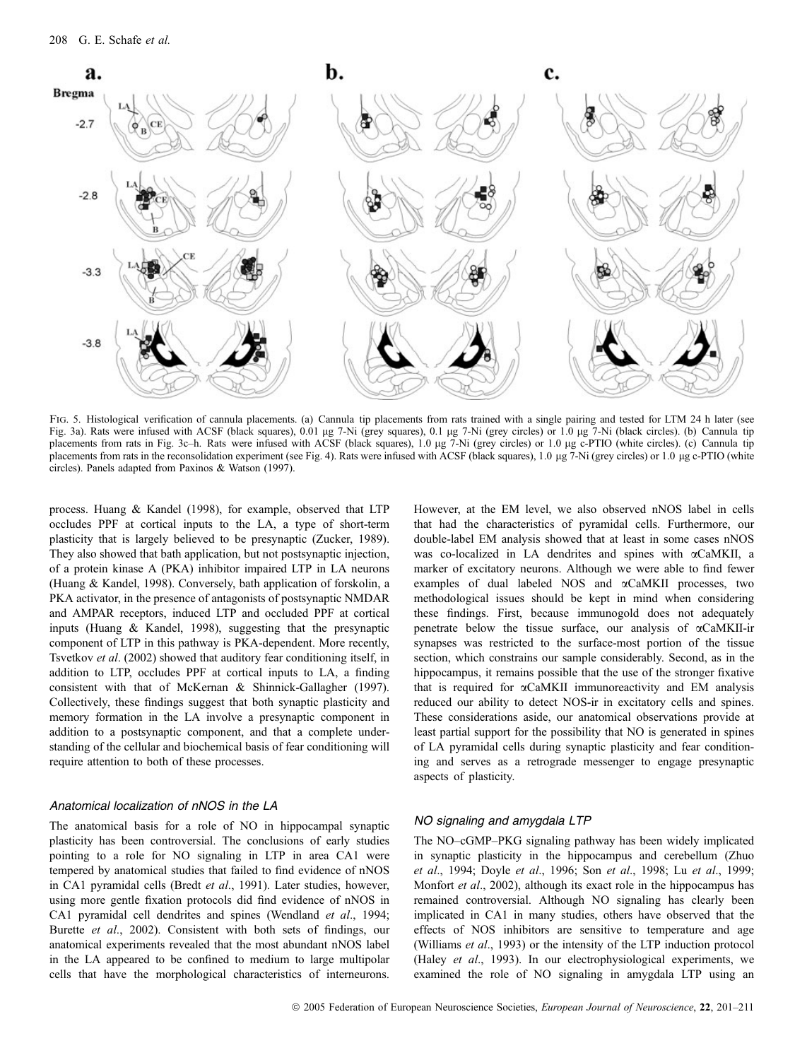

Fig. 5. Histological verification of cannula placements. (a) Cannula tip placements from rats trained with a single pairing and tested for LTM 24 h later (see Fig. 3a). Rats were infused with ACSF (black squares), 0.01 µg 7-Ni (grey squares), 0.1 µg 7-Ni (grey circles) or 1.0 µg 7-Ni (black circles). (b) Cannula tip placements from rats in Fig. 3c–h. Rats were infused with ACSF (black squares), 1.0 µg 7-Ni (grey circles) or 1.0 µg c-PTIO (white circles). (c) Cannula tip placements from rats in the reconsolidation experiment (see Fig. 4). Rats were infused with ACSF (black squares), 1.0 µg 7-Ni (grey circles) or 1.0 µg c-PTIO (white circles). Panels adapted from Paxinos & Watson (1997).

process. Huang & Kandel (1998), for example, observed that LTP occludes PPF at cortical inputs to the LA, a type of short-term plasticity that is largely believed to be presynaptic (Zucker, 1989). They also showed that bath application, but not postsynaptic injection, of a protein kinase A (PKA) inhibitor impaired LTP in LA neurons (Huang & Kandel, 1998). Conversely, bath application of forskolin, a PKA activator, in the presence of antagonists of postsynaptic NMDAR and AMPAR receptors, induced LTP and occluded PPF at cortical inputs (Huang & Kandel, 1998), suggesting that the presynaptic component of LTP in this pathway is PKA-dependent. More recently, Tsvetkov et al. (2002) showed that auditory fear conditioning itself, in addition to LTP, occludes PPF at cortical inputs to LA, a finding consistent with that of McKernan & Shinnick-Gallagher (1997). Collectively, these findings suggest that both synaptic plasticity and memory formation in the LA involve a presynaptic component in addition to a postsynaptic component, and that a complete understanding of the cellular and biochemical basis of fear conditioning will require attention to both of these processes.

## Anatomical localization of nNOS in the LA

The anatomical basis for a role of NO in hippocampal synaptic plasticity has been controversial. The conclusions of early studies pointing to a role for NO signaling in LTP in area CA1 were tempered by anatomical studies that failed to find evidence of nNOS in CA1 pyramidal cells (Bredt et al., 1991). Later studies, however, using more gentle fixation protocols did find evidence of nNOS in CA1 pyramidal cell dendrites and spines (Wendland et al., 1994; Burette et al., 2002). Consistent with both sets of findings, our anatomical experiments revealed that the most abundant nNOS label in the LA appeared to be confined to medium to large multipolar cells that have the morphological characteristics of interneurons. However, at the EM level, we also observed nNOS label in cells that had the characteristics of pyramidal cells. Furthermore, our double-label EM analysis showed that at least in some cases nNOS was co-localized in LA dendrites and spines with aCaMKII, a marker of excitatory neurons. Although we were able to find fewer examples of dual labeled NOS and aCaMKII processes, two methodological issues should be kept in mind when considering these findings. First, because immunogold does not adequately penetrate below the tissue surface, our analysis of  $\alpha$ CaMKII-ir synapses was restricted to the surface-most portion of the tissue section, which constrains our sample considerably. Second, as in the hippocampus, it remains possible that the use of the stronger fixative that is required for aCaMKII immunoreactivity and EM analysis reduced our ability to detect NOS-ir in excitatory cells and spines. These considerations aside, our anatomical observations provide at least partial support for the possibility that NO is generated in spines of LA pyramidal cells during synaptic plasticity and fear conditioning and serves as a retrograde messenger to engage presynaptic aspects of plasticity.

#### NO signaling and amygdala LTP

The NO–cGMP–PKG signaling pathway has been widely implicated in synaptic plasticity in the hippocampus and cerebellum (Zhuo et al., 1994; Doyle et al., 1996; Son et al., 1998; Lu et al., 1999; Monfort et al., 2002), although its exact role in the hippocampus has remained controversial. Although NO signaling has clearly been implicated in CA1 in many studies, others have observed that the effects of NOS inhibitors are sensitive to temperature and age (Williams et al., 1993) or the intensity of the LTP induction protocol (Haley et al., 1993). In our electrophysiological experiments, we examined the role of NO signaling in amygdala LTP using an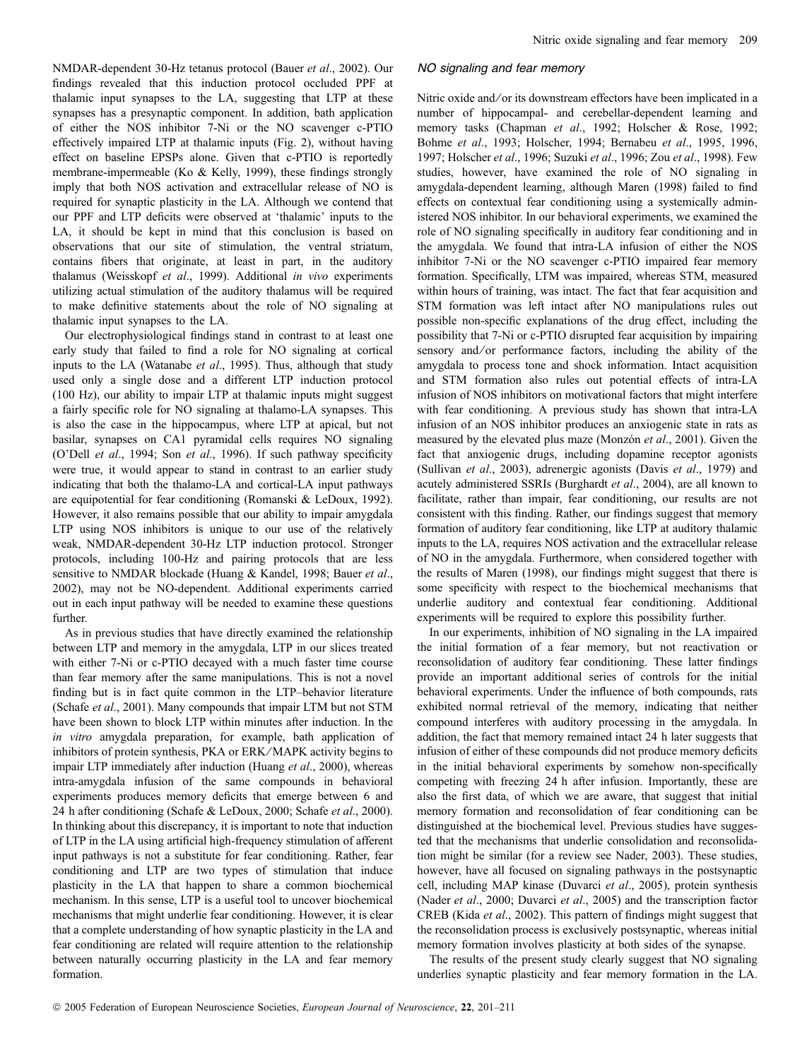NMDAR-dependent 30-Hz tetanus protocol (Bauer et al., 2002). Our findings revealed that this induction protocol occluded PPF at thalamic input synapses to the LA, suggesting that LTP at these synapses has a presynaptic component. In addition, bath application of either the NOS inhibitor 7-Ni or the NO scavenger c-PTIO effectively impaired LTP at thalamic inputs (Fig. 2), without having effect on baseline EPSPs alone. Given that c-PTIO is reportedly membrane-impermeable (Ko & Kelly, 1999), these findings strongly imply that both NOS activation and extracellular release of NO is required for synaptic plasticity in the LA. Although we contend that our PPF and LTP deficits were observed at 'thalamic' inputs to the LA, it should be kept in mind that this conclusion is based on observations that our site of stimulation, the ventral striatum, contains fibers that originate, at least in part, in the auditory thalamus (Weisskopf et al., 1999). Additional in vivo experiments utilizing actual stimulation of the auditory thalamus will be required to make definitive statements about the role of NO signaling at thalamic input synapses to the LA.

Our electrophysiological findings stand in contrast to at least one early study that failed to find a role for NO signaling at cortical inputs to the LA (Watanabe et al., 1995). Thus, although that study used only a single dose and a different LTP induction protocol (100 Hz), our ability to impair LTP at thalamic inputs might suggest a fairly specific role for NO signaling at thalamo-LA synapses. This is also the case in the hippocampus, where LTP at apical, but not basilar, synapses on CA1 pyramidal cells requires NO signaling (O'Dell et al., 1994; Son et al., 1996). If such pathway specificity were true, it would appear to stand in contrast to an earlier study indicating that both the thalamo-LA and cortical-LA input pathways are equipotential for fear conditioning (Romanski & LeDoux, 1992). However, it also remains possible that our ability to impair amygdala LTP using NOS inhibitors is unique to our use of the relatively weak, NMDAR-dependent 30-Hz LTP induction protocol. Stronger protocols, including 100-Hz and pairing protocols that are less sensitive to NMDAR blockade (Huang & Kandel, 1998; Bauer et al., 2002), may not be NO-dependent. Additional experiments carried out in each input pathway will be needed to examine these questions further.

As in previous studies that have directly examined the relationship between LTP and memory in the amygdala, LTP in our slices treated with either 7-Ni or c-PTIO decayed with a much faster time course than fear memory after the same manipulations. This is not a novel finding but is in fact quite common in the LTP–behavior literature (Schafe et al., 2001). Many compounds that impair LTM but not STM have been shown to block LTP within minutes after induction. In the in vitro amygdala preparation, for example, bath application of inhibitors of protein synthesis, PKA or ERK/MAPK activity begins to impair LTP immediately after induction (Huang et al., 2000), whereas intra-amygdala infusion of the same compounds in behavioral experiments produces memory deficits that emerge between 6 and 24 h after conditioning (Schafe & LeDoux, 2000; Schafe et al., 2000). In thinking about this discrepancy, it is important to note that induction of LTP in the LA using artificial high-frequency stimulation of afferent input pathways is not a substitute for fear conditioning. Rather, fear conditioning and LTP are two types of stimulation that induce plasticity in the LA that happen to share a common biochemical mechanism. In this sense, LTP is a useful tool to uncover biochemical mechanisms that might underlie fear conditioning. However, it is clear that a complete understanding of how synaptic plasticity in the LA and fear conditioning are related will require attention to the relationship between naturally occurring plasticity in the LA and fear memory formation.

#### NO signaling and fear memory

Nitric oxide and/or its downstream effectors have been implicated in a number of hippocampal- and cerebellar-dependent learning and memory tasks (Chapman et al., 1992; Holscher & Rose, 1992; Bohme et al., 1993; Holscher, 1994; Bernabeu et al., 1995, 1996, 1997; Holscher et al., 1996; Suzuki et al., 1996; Zou et al., 1998). Few studies, however, have examined the role of NO signaling in amygdala-dependent learning, although Maren (1998) failed to find effects on contextual fear conditioning using a systemically administered NOS inhibitor. In our behavioral experiments, we examined the role of NO signaling specifically in auditory fear conditioning and in the amygdala. We found that intra-LA infusion of either the NOS inhibitor 7-Ni or the NO scavenger c-PTIO impaired fear memory formation. Specifically, LTM was impaired, whereas STM, measured within hours of training, was intact. The fact that fear acquisition and STM formation was left intact after NO manipulations rules out possible non-specific explanations of the drug effect, including the possibility that 7-Ni or c-PTIO disrupted fear acquisition by impairing sensory and/or performance factors, including the ability of the amygdala to process tone and shock information. Intact acquisition and STM formation also rules out potential effects of intra-LA infusion of NOS inhibitors on motivational factors that might interfere with fear conditioning. A previous study has shown that intra-LA infusion of an NOS inhibitor produces an anxiogenic state in rats as measured by the elevated plus maze (Monzón et al., 2001). Given the fact that anxiogenic drugs, including dopamine receptor agonists (Sullivan et al., 2003), adrenergic agonists (Davis et al., 1979) and acutely administered SSRIs (Burghardt et al., 2004), are all known to facilitate, rather than impair, fear conditioning, our results are not consistent with this finding. Rather, our findings suggest that memory formation of auditory fear conditioning, like LTP at auditory thalamic inputs to the LA, requires NOS activation and the extracellular release of NO in the amygdala. Furthermore, when considered together with the results of Maren (1998), our findings might suggest that there is some specificity with respect to the biochemical mechanisms that underlie auditory and contextual fear conditioning. Additional experiments will be required to explore this possibility further.

In our experiments, inhibition of NO signaling in the LA impaired the initial formation of a fear memory, but not reactivation or reconsolidation of auditory fear conditioning. These latter findings provide an important additional series of controls for the initial behavioral experiments. Under the influence of both compounds, rats exhibited normal retrieval of the memory, indicating that neither compound interferes with auditory processing in the amygdala. In addition, the fact that memory remained intact 24 h later suggests that infusion of either of these compounds did not produce memory deficits in the initial behavioral experiments by somehow non-specifically competing with freezing 24 h after infusion. Importantly, these are also the first data, of which we are aware, that suggest that initial memory formation and reconsolidation of fear conditioning can be distinguished at the biochemical level. Previous studies have suggested that the mechanisms that underlie consolidation and reconsolidation might be similar (for a review see Nader, 2003). These studies, however, have all focused on signaling pathways in the postsynaptic cell, including MAP kinase (Duvarci et al., 2005), protein synthesis (Nader et al., 2000; Duvarci et al., 2005) and the transcription factor CREB (Kida et al., 2002). This pattern of findings might suggest that the reconsolidation process is exclusively postsynaptic, whereas initial memory formation involves plasticity at both sides of the synapse.

The results of the present study clearly suggest that NO signaling underlies synaptic plasticity and fear memory formation in the LA.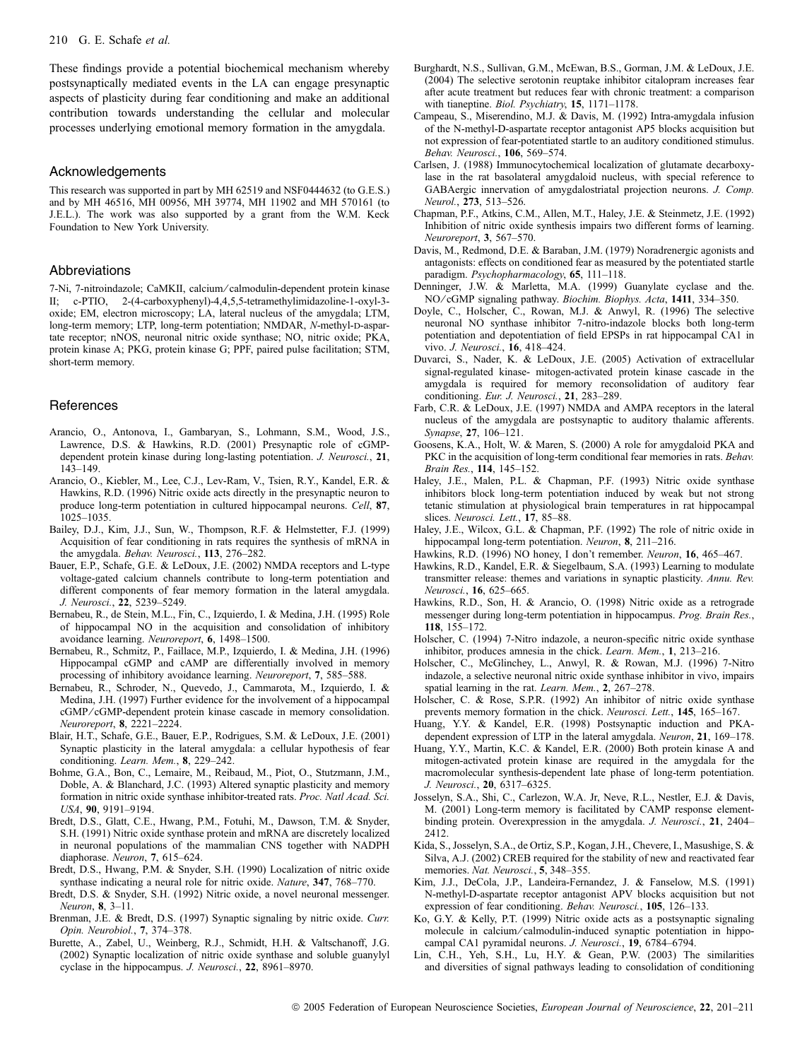## 210 G. E. Schafe et al.

These findings provide a potential biochemical mechanism whereby postsynaptically mediated events in the LA can engage presynaptic aspects of plasticity during fear conditioning and make an additional contribution towards understanding the cellular and molecular processes underlying emotional memory formation in the amygdala.

#### Acknowledgements

This research was supported in part by MH 62519 and NSF0444632 (to G.E.S.) and by MH 46516, MH 00956, MH 39774, MH 11902 and MH 570161 (to J.E.L.). The work was also supported by a grant from the W.M. Keck Foundation to New York University.

#### Abbreviations

7-Ni, 7-nitroindazole; CaMKII, calcium ⁄ calmodulin-dependent protein kinase II; c-PTIO, 2-(4-carboxyphenyl)-4,4,5,5-tetramethylimidazoline-1-oxyl-3 oxide; EM, electron microscopy; LA, lateral nucleus of the amygdala; LTM, long-term memory; LTP, long-term potentiation; NMDAR, N-methyl-D-aspartate receptor; nNOS, neuronal nitric oxide synthase; NO, nitric oxide; PKA, protein kinase A; PKG, protein kinase G; PPF, paired pulse facilitation; STM, short-term memory.

#### **References**

- Arancio, O., Antonova, I., Gambaryan, S., Lohmann, S.M., Wood, J.S., Lawrence, D.S. & Hawkins, R.D. (2001) Presynaptic role of cGMPdependent protein kinase during long-lasting potentiation. J. Neurosci., 21, 143–149.
- Arancio, O., Kiebler, M., Lee, C.J., Lev-Ram, V., Tsien, R.Y., Kandel, E.R. & Hawkins, R.D. (1996) Nitric oxide acts directly in the presynaptic neuron to produce long-term potentiation in cultured hippocampal neurons. Cell, 87, 1025–1035.
- Bailey, D.J., Kim, J.J., Sun, W., Thompson, R.F. & Helmstetter, F.J. (1999) Acquisition of fear conditioning in rats requires the synthesis of mRNA in the amygdala. Behav. Neurosci., 113, 276–282.
- Bauer, E.P., Schafe, G.E. & LeDoux, J.E. (2002) NMDA receptors and L-type voltage-gated calcium channels contribute to long-term potentiation and different components of fear memory formation in the lateral amygdala. J. Neurosci., 22, 5239–5249.
- Bernabeu, R., de Stein, M.L., Fin, C., Izquierdo, I. & Medina, J.H. (1995) Role of hippocampal NO in the acquisition and consolidation of inhibitory avoidance learning. Neuroreport, 6, 1498–1500.
- Bernabeu, R., Schmitz, P., Faillace, M.P., Izquierdo, I. & Medina, J.H. (1996) Hippocampal cGMP and cAMP are differentially involved in memory processing of inhibitory avoidance learning. Neuroreport, 7, 585–588.
- Bernabeu, R., Schroder, N., Quevedo, J., Cammarota, M., Izquierdo, I. & Medina, J.H. (1997) Further evidence for the involvement of a hippocampal cGMP ⁄ cGMP-dependent protein kinase cascade in memory consolidation. Neuroreport, 8, 2221–2224.
- Blair, H.T., Schafe, G.E., Bauer, E.P., Rodrigues, S.M. & LeDoux, J.E. (2001) Synaptic plasticity in the lateral amygdala: a cellular hypothesis of fear conditioning. Learn. Mem., 8, 229–242.
- Bohme, G.A., Bon, C., Lemaire, M., Reibaud, M., Piot, O., Stutzmann, J.M., Doble, A. & Blanchard, J.C. (1993) Altered synaptic plasticity and memory formation in nitric oxide synthase inhibitor-treated rats. Proc. Natl Acad. Sci. USA, 90, 9191–9194.
- Bredt, D.S., Glatt, C.E., Hwang, P.M., Fotuhi, M., Dawson, T.M. & Snyder, S.H. (1991) Nitric oxide synthase protein and mRNA are discretely localized in neuronal populations of the mammalian CNS together with NADPH diaphorase. Neuron, 7, 615–624.
- Bredt, D.S., Hwang, P.M. & Snyder, S.H. (1990) Localization of nitric oxide synthase indicating a neural role for nitric oxide. Nature, 347, 768–770.
- Bredt, D.S. & Snyder, S.H. (1992) Nitric oxide, a novel neuronal messenger. Neuron, 8, 3–11.
- Brenman, J.E. & Bredt, D.S. (1997) Synaptic signaling by nitric oxide. Curr. Opin. Neurobiol., 7, 374–378.
- Burette, A., Zabel, U., Weinberg, R.J., Schmidt, H.H. & Valtschanoff, J.G. (2002) Synaptic localization of nitric oxide synthase and soluble guanylyl cyclase in the hippocampus. J. Neurosci., 22, 8961–8970.
- Burghardt, N.S., Sullivan, G.M., McEwan, B.S., Gorman, J.M. & LeDoux, J.E. (2004) The selective serotonin reuptake inhibitor citalopram increases fear after acute treatment but reduces fear with chronic treatment: a comparison with tianeptine. Biol. Psychiatry, 15, 1171-1178.
- Campeau, S., Miserendino, M.J. & Davis, M. (1992) Intra-amygdala infusion of the N-methyl-D-aspartate receptor antagonist AP5 blocks acquisition but not expression of fear-potentiated startle to an auditory conditioned stimulus. Behav. Neurosci., 106, 569–574.
- Carlsen, J. (1988) Immunocytochemical localization of glutamate decarboxylase in the rat basolateral amygdaloid nucleus, with special reference to GABAergic innervation of amygdalostriatal projection neurons. J. Comp. Neurol., 273, 513–526.
- Chapman, P.F., Atkins, C.M., Allen, M.T., Haley, J.E. & Steinmetz, J.E. (1992) Inhibition of nitric oxide synthesis impairs two different forms of learning. Neuroreport, 3, 567–570.
- Davis, M., Redmond, D.E. & Baraban, J.M. (1979) Noradrenergic agonists and antagonists: effects on conditioned fear as measured by the potentiated startle paradigm. Psychopharmacology, 65, 111-118.
- Denninger, J.W. & Marletta, M.A. (1999) Guanylate cyclase and the. NO/cGMP signaling pathway. Biochim. Biophys. Acta, 1411, 334-350.
- Doyle, C., Holscher, C., Rowan, M.J. & Anwyl, R. (1996) The selective neuronal NO synthase inhibitor 7-nitro-indazole blocks both long-term potentiation and depotentiation of field EPSPs in rat hippocampal CA1 in vivo. J. Neurosci., 16, 418–424.
- Duvarci, S., Nader, K. & LeDoux, J.E. (2005) Activation of extracellular signal-regulated kinase- mitogen-activated protein kinase cascade in the amygdala is required for memory reconsolidation of auditory fear conditioning. Eur. J. Neurosci., 21, 283–289.
- Farb, C.R. & LeDoux, J.E. (1997) NMDA and AMPA receptors in the lateral nucleus of the amygdala are postsynaptic to auditory thalamic afferents. Synapse, 27, 106–121.
- Goosens, K.A., Holt, W. & Maren, S. (2000) A role for amygdaloid PKA and PKC in the acquisition of long-term conditional fear memories in rats. Behav. Brain Res., 114, 145–152.
- Haley, J.E., Malen, P.L. & Chapman, P.F. (1993) Nitric oxide synthase inhibitors block long-term potentiation induced by weak but not strong tetanic stimulation at physiological brain temperatures in rat hippocampal slices. Neurosci. Lett., 17, 85-88.
- Haley, J.E., Wilcox, G.L. & Chapman, P.F. (1992) The role of nitric oxide in hippocampal long-term potentiation. Neuron, 8, 211–216.
- Hawkins, R.D. (1996) NO honey, I don't remember. Neuron, 16, 465–467.
- Hawkins, R.D., Kandel, E.R. & Siegelbaum, S.A. (1993) Learning to modulate transmitter release: themes and variations in synaptic plasticity. Annu. Rev. Neurosci., 16, 625–665.
- Hawkins, R.D., Son, H. & Arancio, O. (1998) Nitric oxide as a retrograde messenger during long-term potentiation in hippocampus. Prog. Brain Res., 118, 155–172.
- Holscher, C. (1994) 7-Nitro indazole, a neuron-specific nitric oxide synthase inhibitor, produces amnesia in the chick. Learn. Mem., 1, 213–216.
- Holscher, C., McGlinchey, L., Anwyl, R. & Rowan, M.J. (1996) 7-Nitro indazole, a selective neuronal nitric oxide synthase inhibitor in vivo, impairs spatial learning in the rat. Learn. Mem., 2, 267-278.
- Holscher, C. & Rose, S.P.R. (1992) An inhibitor of nitric oxide synthase prevents memory formation in the chick. Neurosci. Lett., 145, 165–167.
- Huang, Y.Y. & Kandel, E.R. (1998) Postsynaptic induction and PKAdependent expression of LTP in the lateral amygdala. Neuron, 21, 169–178.
- Huang, Y.Y., Martin, K.C. & Kandel, E.R. (2000) Both protein kinase A and mitogen-activated protein kinase are required in the amygdala for the macromolecular synthesis-dependent late phase of long-term potentiation. J. Neurosci., 20, 6317–6325.
- Josselyn, S.A., Shi, C., Carlezon, W.A. Jr, Neve, R.L., Nestler, E.J. & Davis, M. (2001) Long-term memory is facilitated by CAMP response elementbinding protein. Overexpression in the amygdala. J. Neurosci., 21, 2404– 2412.
- Kida, S., Josselyn, S.A., de Ortiz, S.P., Kogan, J.H., Chevere, I., Masushige, S. & Silva, A.J. (2002) CREB required for the stability of new and reactivated fear memories. Nat. Neurosci., 5, 348-355.
- Kim, J.J., DeCola, J.P., Landeira-Fernandez, J. & Fanselow, M.S. (1991) N-methyl-D-aspartate receptor antagonist APV blocks acquisition but not expression of fear conditioning. Behav. Neurosci., 105, 126–133.
- Ko, G.Y. & Kelly, P.T. (1999) Nitric oxide acts as a postsynaptic signaling molecule in calcium/calmodulin-induced synaptic potentiation in hippocampal CA1 pyramidal neurons. J. Neurosci., 19, 6784–6794.
- Lin, C.H., Yeh, S.H., Lu, H.Y. & Gean, P.W. (2003) The similarities and diversities of signal pathways leading to consolidation of conditioning